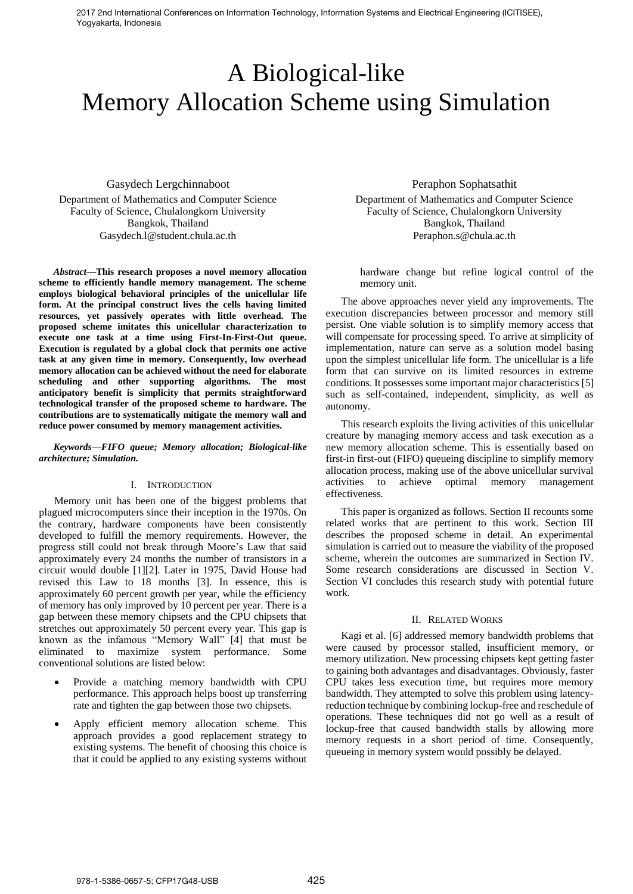2017 2nd International Conferences on Information Technology, Information Systems and Electrical Engineering (ICITISEE), Yogyakarta, Indonesia

# A Biological-like Memory Allocation Scheme using Simulation

Gasydech Lergchinnaboot Department of Mathematics and Computer Science Faculty of Science, Chulalongkorn University Bangkok, Thailand Gasydech.l@student.chula.ac.th

*Abstract***—This research proposes a novel memory allocation scheme to efficiently handle memory management. The scheme employs biological behavioral principles of the unicellular life form. At the principal construct lives the cells having limited resources, yet passively operates with little overhead. The proposed scheme imitates this unicellular characterization to execute one task at a time using First-In-First-Out queue. Execution is regulated by a global clock that permits one active task at any given time in memory. Consequently, low overhead memory allocation can be achieved without the need for elaborate scheduling and other supporting algorithms. The most anticipatory benefit is simplicity that permits straightforward technological transfer of the proposed scheme to hardware. The contributions are to systematically mitigate the memory wall and reduce power consumed by memory management activities.**

*Keywords—FIFO queue; Memory allocation; Biological-like architecture; Simulation.*

### I. INTRODUCTION

Memory unit has been one of the biggest problems that plagued microcomputers since their inception in the 1970s. On the contrary, hardware components have been consistently developed to fulfill the memory requirements. However, the progress still could not break through Moore's Law that said approximately every 24 months the number of transistors in a circuit would double [1][2]. Later in 1975, David House had revised this Law to 18 months [3]. In essence, this is approximately 60 percent growth per year, while the efficiency of memory has only improved by 10 percent per year. There is a gap between these memory chipsets and the CPU chipsets that stretches out approximately 50 percent every year. This gap is known as the infamous "Memory Wall" [4] that must be eliminated to maximize system performance. Some conventional solutions are listed below:

- Provide a matching memory bandwidth with CPU performance. This approach helps boost up transferring rate and tighten the gap between those two chipsets.
- Apply efficient memory allocation scheme. This approach provides a good replacement strategy to existing systems. The benefit of choosing this choice is that it could be applied to any existing systems without

Peraphon Sophatsathit Department of Mathematics and Computer Science Faculty of Science, Chulalongkorn University Bangkok, Thailand Peraphon.s@chula.ac.th

hardware change but refine logical control of the memory unit.

The above approaches never yield any improvements. The execution discrepancies between processor and memory still persist. One viable solution is to simplify memory access that will compensate for processing speed. To arrive at simplicity of implementation, nature can serve as a solution model basing upon the simplest unicellular life form. The unicellular is a life form that can survive on its limited resources in extreme conditions. It possesses some important major characteristics [5] such as self-contained, independent, simplicity, as well as autonomy.

This research exploits the living activities of this unicellular creature by managing memory access and task execution as a new memory allocation scheme. This is essentially based on first-in first-out (FIFO) queueing discipline to simplify memory allocation process, making use of the above unicellular survival activities to achieve optimal memory management effectiveness.

This paper is organized as follows. Section II recounts some related works that are pertinent to this work. Section III describes the proposed scheme in detail. An experimental simulation is carried out to measure the viability of the proposed scheme, wherein the outcomes are summarized in Section IV. Some research considerations are discussed in Section V. Section VI concludes this research study with potential future work.

#### II. RELATED WORKS

Kagi et al. [6] addressed memory bandwidth problems that were caused by processor stalled, insufficient memory, or memory utilization. New processing chipsets kept getting faster to gaining both advantages and disadvantages. Obviously, faster CPU takes less execution time, but requires more memory bandwidth. They attempted to solve this problem using latencyreduction technique by combining lockup-free and reschedule of operations. These techniques did not go well as a result of lockup-free that caused bandwidth stalls by allowing more memory requests in a short period of time. Consequently, queueing in memory system would possibly be delayed.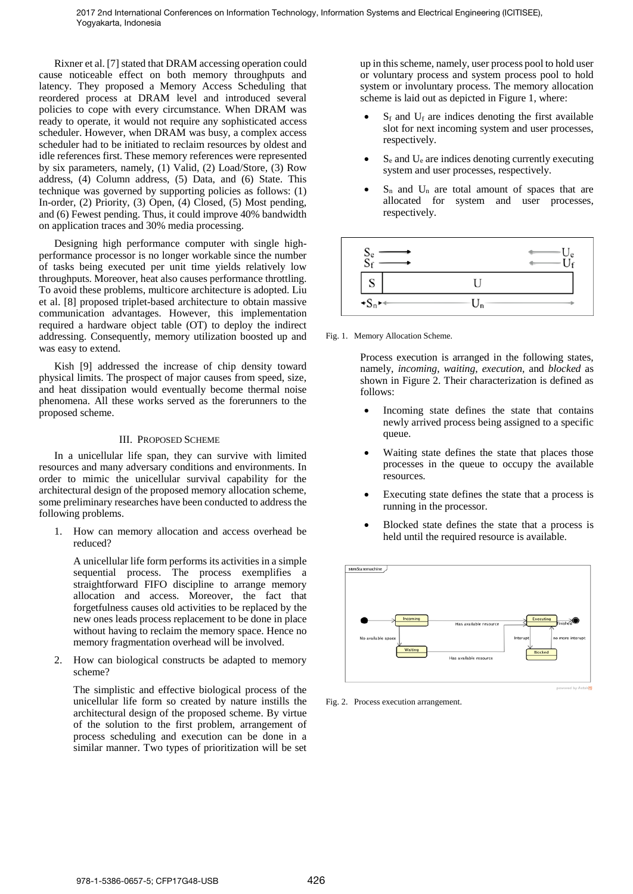Rixner et al. [7] stated that DRAM accessing operation could cause noticeable effect on both memory throughputs and latency. They proposed a Memory Access Scheduling that reordered process at DRAM level and introduced several policies to cope with every circumstance. When DRAM was ready to operate, it would not require any sophisticated access scheduler. However, when DRAM was busy, a complex access scheduler had to be initiated to reclaim resources by oldest and idle references first. These memory references were represented by six parameters, namely, (1) Valid, (2) Load/Store, (3) Row address, (4) Column address, (5) Data, and (6) State. This technique was governed by supporting policies as follows: (1) In-order, (2) Priority, (3) Open, (4) Closed, (5) Most pending, and (6) Fewest pending. Thus, it could improve 40% bandwidth on application traces and 30% media processing.

Designing high performance computer with single highperformance processor is no longer workable since the number of tasks being executed per unit time yields relatively low throughputs. Moreover, heat also causes performance throttling. To avoid these problems, multicore architecture is adopted. Liu et al. [8] proposed triplet-based architecture to obtain massive communication advantages. However, this implementation required a hardware object table (OT) to deploy the indirect addressing. Consequently, memory utilization boosted up and was easy to extend.

Kish [9] addressed the increase of chip density toward physical limits. The prospect of major causes from speed, size, and heat dissipation would eventually become thermal noise phenomena. All these works served as the forerunners to the proposed scheme.

# III. PROPOSED SCHEME

In a unicellular life span, they can survive with limited resources and many adversary conditions and environments. In order to mimic the unicellular survival capability for the architectural design of the proposed memory allocation scheme, some preliminary researches have been conducted to address the following problems.

1. How can memory allocation and access overhead be reduced?

A unicellular life form performs its activities in a simple sequential process. The process exemplifies a straightforward FIFO discipline to arrange memory allocation and access. Moreover, the fact that forgetfulness causes old activities to be replaced by the new ones leads process replacement to be done in place without having to reclaim the memory space. Hence no memory fragmentation overhead will be involved.

2. How can biological constructs be adapted to memory scheme?

The simplistic and effective biological process of the unicellular life form so created by nature instills the architectural design of the proposed scheme. By virtue of the solution to the first problem, arrangement of process scheduling and execution can be done in a similar manner. Two types of prioritization will be set

up in this scheme, namely, user process pool to hold user or voluntary process and system process pool to hold system or involuntary process. The memory allocation scheme is laid out as depicted in Figure 1, where:

- $S_f$  and  $U_f$  are indices denoting the first available slot for next incoming system and user processes, respectively.
- $S<sub>e</sub>$  and  $U<sub>e</sub>$  are indices denoting currently executing system and user processes, respectively.
- $S_n$  and  $U_n$  are total amount of spaces that are allocated for system and user processes, respectively.



Fig. 1. Memory Allocation Scheme.

Process execution is arranged in the following states, namely, *incoming*, *waiting*, *execution*, and *blocked* as shown in Figure 2. Their characterization is defined as follows:

- Incoming state defines the state that contains newly arrived process being assigned to a specific queue.
- Waiting state defines the state that places those processes in the queue to occupy the available resources.
- Executing state defines the state that a process is running in the processor.
- Blocked state defines the state that a process is held until the required resource is available.



Fig. 2. Process execution arrangement.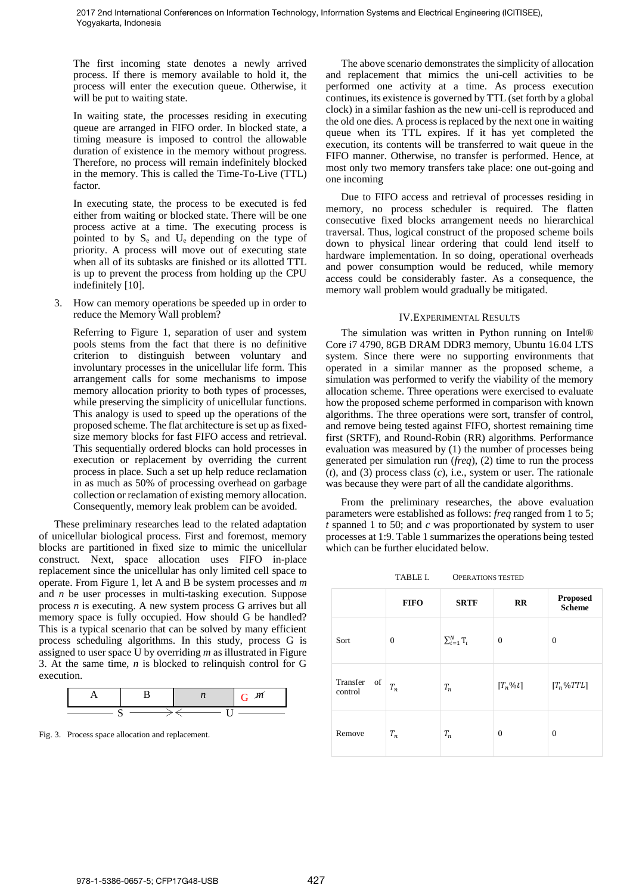The first incoming state denotes a newly arrived process. If there is memory available to hold it, the process will enter the execution queue. Otherwise, it will be put to waiting state.

In waiting state, the processes residing in executing queue are arranged in FIFO order. In blocked state, a timing measure is imposed to control the allowable duration of existence in the memory without progress. Therefore, no process will remain indefinitely blocked in the memory. This is called the Time-To-Live (TTL) factor.

In executing state, the process to be executed is fed either from waiting or blocked state. There will be one process active at a time. The executing process is pointed to by S<sup>e</sup> and Ue depending on the type of priority. A process will move out of executing state when all of its subtasks are finished or its allotted TTL is up to prevent the process from holding up the CPU indefinitely [10].

3. How can memory operations be speeded up in order to reduce the Memory Wall problem?

Referring to Figure 1, separation of user and system pools stems from the fact that there is no definitive criterion to distinguish between voluntary and involuntary processes in the unicellular life form. This arrangement calls for some mechanisms to impose memory allocation priority to both types of processes, while preserving the simplicity of unicellular functions. This analogy is used to speed up the operations of the proposed scheme. The flat architecture is set up as fixedsize memory blocks for fast FIFO access and retrieval. This sequentially ordered blocks can hold processes in execution or replacement by overriding the current process in place. Such a set up help reduce reclamation in as much as 50% of processing overhead on garbage collection or reclamation of existing memory allocation. Consequently, memory leak problem can be avoided.

These preliminary researches lead to the related adaptation of unicellular biological process. First and foremost, memory blocks are partitioned in fixed size to mimic the unicellular construct. Next, space allocation uses FIFO in-place replacement since the unicellular has only limited cell space to operate. From Figure 1, let A and B be system processes and *m* and *n* be user processes in multi-tasking execution. Suppose process *n* is executing. A new system process G arrives but all memory space is fully occupied. How should G be handled? This is a typical scenario that can be solved by many efficient process scheduling algorithms. In this study, process G is assigned to user space U by overriding *m* as illustrated in Figure 3. At the same time, *n* is blocked to relinquish control for G execution.



Fig. 3. Process space allocation and replacement.

The above scenario demonstrates the simplicity of allocation and replacement that mimics the uni-cell activities to be performed one activity at a time. As process execution continues, its existence is governed by TTL (set forth by a global clock) in a similar fashion as the new uni-cell is reproduced and the old one dies. A process is replaced by the next one in waiting queue when its TTL expires. If it has yet completed the execution, its contents will be transferred to wait queue in the FIFO manner. Otherwise, no transfer is performed. Hence, at most only two memory transfers take place: one out-going and one incoming

Due to FIFO access and retrieval of processes residing in memory, no process scheduler is required. The flatten consecutive fixed blocks arrangement needs no hierarchical traversal. Thus, logical construct of the proposed scheme boils down to physical linear ordering that could lend itself to hardware implementation. In so doing, operational overheads and power consumption would be reduced, while memory access could be considerably faster. As a consequence, the memory wall problem would gradually be mitigated.

# IV.EXPERIMENTAL RESULTS

The simulation was written in Python running on Intel® Core i7 4790, 8GB DRAM DDR3 memory, Ubuntu 16.04 LTS system. Since there were no supporting environments that operated in a similar manner as the proposed scheme, a simulation was performed to verify the viability of the memory allocation scheme. Three operations were exercised to evaluate how the proposed scheme performed in comparison with known algorithms. The three operations were sort, transfer of control, and remove being tested against FIFO, shortest remaining time first (SRTF), and Round-Robin (RR) algorithms. Performance evaluation was measured by (1) the number of processes being generated per simulation run (*freq*), (2) time to run the process (*t*), and (3) process class (*c*), i.e., system or user. The rationale was because they were part of all the candidate algorithms.

From the preliminary researches, the above evaluation parameters were established as follows: *freq* ranged from 1 to 5; *t* spanned 1 to 50; and *c* was proportionated by system to user processes at 1:9. Table 1 summarizes the operations being tested which can be further elucidated below.

TABLE I. OPERATIONS TESTED

|                        | <b>FIFO</b>    | <b>SRTF</b>        | RR             | <b>Proposed</b><br><b>Scheme</b> |
|------------------------|----------------|--------------------|----------------|----------------------------------|
| Sort                   | $\overline{0}$ | $\sum_{i=1}^N T_i$ | $\overline{0}$ | $\overline{0}$                   |
| Transfer of<br>control | $T_n$          | $T_n$              | $[T_n\%t]$     | $[T_n\%TTL]$                     |
| Remove                 | $T_n$          | $\mathfrak{T}_n$   | $\overline{0}$ | $\theta$                         |